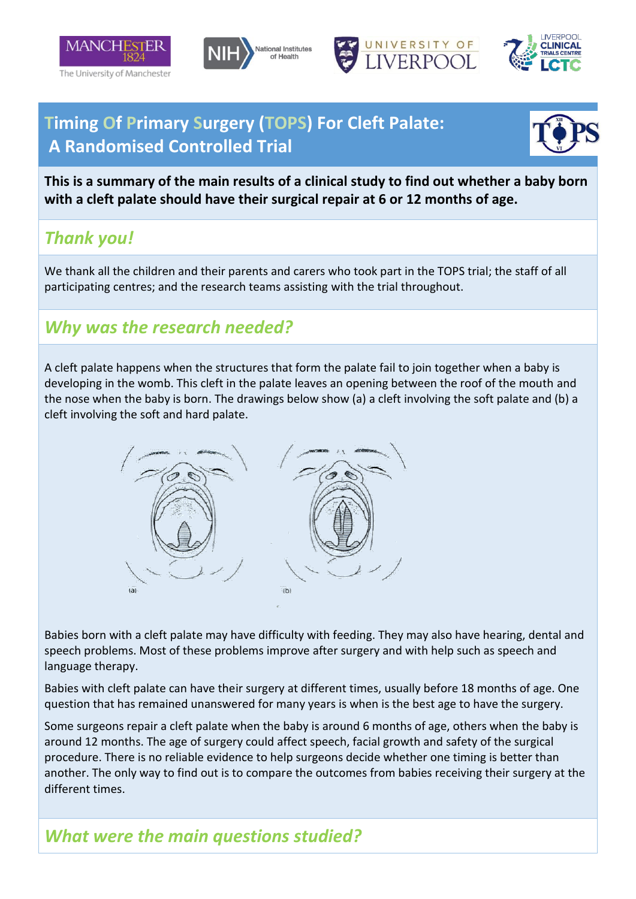







## **Timing Of Primary Surgery (TOPS) For Cleft Palate: A Randomised Controlled Trial**



**This is a summary of the main results of a clinical study to find out whether a baby born with a cleft palate should have their surgical repair at 6 or 12 months of age.**

## *Thank you!*

We thank all the children and their parents and carers who took part in the TOPS trial; the staff of all participating centres; and the research teams assisting with the trial throughout.

#### *Why was the research needed?*

A cleft palate happens when the structures that form the palate fail to join together when a baby is developing in the womb. This cleft in the palate leaves an opening between the roof of the mouth and the nose when the baby is born. The drawings below show (a) a cleft involving the soft palate and (b) a cleft involving the soft and hard palate.



Babies born with a cleft palate may have difficulty with feeding. They may also have hearing, dental and speech problems. Most of these problems improve after surgery and with help such as speech and language therapy.

Babies with cleft palate can have their surgery at different times, usually before 18 months of age. One question that has remained unanswered for many years is when is the best age to have the surgery.

Some surgeons repair a cleft palate when the baby is around 6 months of age, others when the baby is around 12 months. The age of surgery could affect speech, facial growth and safety of the surgical procedure. There is no reliable evidence to help surgeons decide whether one timing is better than another. The only way to find out is to compare the outcomes from babies receiving their surgery at the different times.

#### *What were the main questions studied?*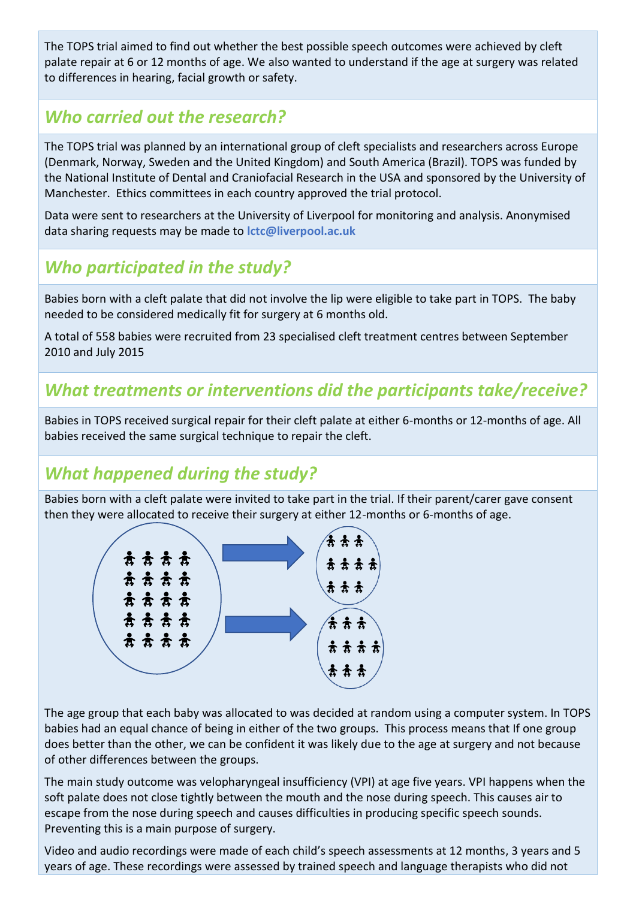The TOPS trial aimed to find out whether the best possible speech outcomes were achieved by cleft palate repair at 6 or 12 months of age. We also wanted to understand if the age at surgery was related to differences in hearing, facial growth or safety.

# *Who carried out the research?*

The TOPS trial was planned by an international group of cleft specialists and researchers across Europe (Denmark, Norway, Sweden and the United Kingdom) and South America (Brazil). TOPS was funded by the National Institute of Dental and Craniofacial Research in the USA and sponsored by the University of Manchester. Ethics committees in each country approved the trial protocol.

Data were sent to researchers at the University of Liverpool for monitoring and analysis. Anonymised data sharing requests may be made to **lctc@liverpool.ac.uk**

# *Who participated in the study?*

Babies born with a cleft palate that did not involve the lip were eligible to take part in TOPS. The baby needed to be considered medically fit for surgery at 6 months old.

A total of 558 babies were recruited from 23 specialised cleft treatment centres between September 2010 and July 2015

### *What treatments or interventions did the participants take/receive?*

Babies in TOPS received surgical repair for their cleft palate at either 6-months or 12-months of age. All babies received the same surgical technique to repair the cleft.

# *What happened during the study?*

Babies born with a cleft palate were invited to take part in the trial. If their parent/carer gave consent then they were allocated to receive their surgery at either 12-months or 6-months of age.



The age group that each baby was allocated to was decided at random using a computer system. In TOPS babies had an equal chance of being in either of the two groups. This process means that If one group does better than the other, we can be confident it was likely due to the age at surgery and not because of other differences between the groups.

The main study outcome was velopharyngeal insufficiency (VPI) at age five years. VPI happens when the soft palate does not close tightly between the mouth and the nose during speech. This causes air to escape from the nose during speech and causes difficulties in producing specific speech sounds. Preventing this is a main purpose of surgery.

Video and audio recordings were made of each child's speech assessments at 12 months, 3 years and 5 years of age. These recordings were assessed by trained speech and language therapists who did not